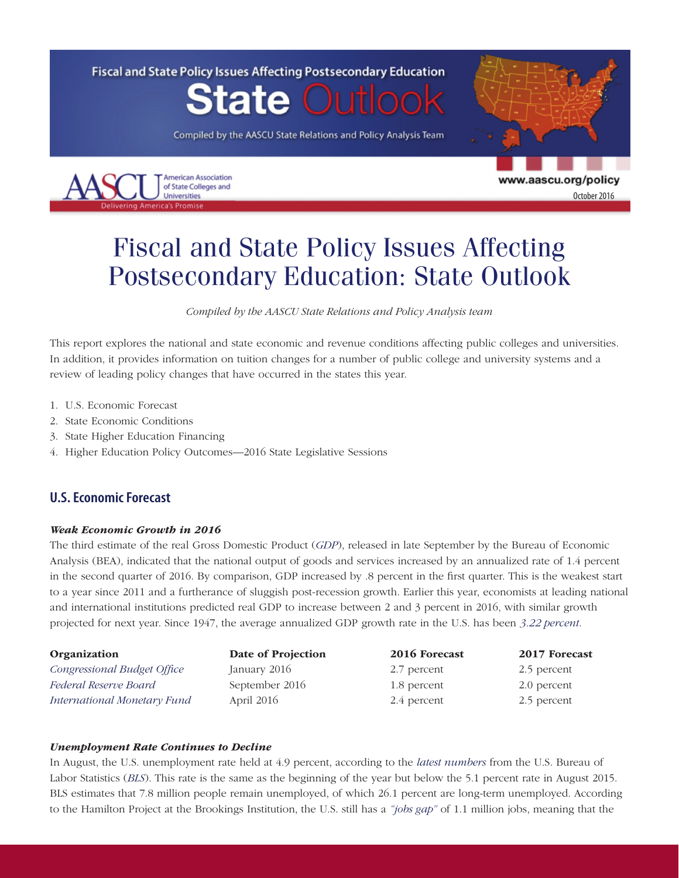**Fiscal and State Policy Issues Affecting Postsecondary Education** 



Compiled by the AASCU State Relations and Policy Analysis Team





www.aascu.org/policy October 2016

## Fiscal and State Policy Issues Affecting Postsecondary Education: State Outlook

*Compiled by the AASCU State Relations and Policy Analysis team*

This report explores the national and state economic and revenue conditions affecting public colleges and universities. In addition, it provides information on tuition changes for a number of public college and university systems and a review of leading policy changes that have occurred in the states this year.

- 1. U.S. Economic Forecast
- 2. State Economic Conditions
- 3. State Higher Education Financing
- 4. Higher Education Policy Outcomes—2016 State Legislative Sessions

## **U.S. Economic Forecast**

## *Weak Economic Growth in 2016*

The third estimate of the real Gross Domestic Product (*[GDP](http://www.bea.gov/newsreleases/national/gdp/gdpnewsrelease.htm)*), released in late September by the Bureau of Economic Analysis (BEA), indicated that the national output of goods and services increased by an annualized rate of 1.4 percent in the second quarter of 2016. By comparison, GDP increased by .8 percent in the first quarter. This is the weakest start to a year since 2011 and a furtherance of sluggish post-recession growth. Earlier this year, economists at leading national and international institutions predicted real GDP to increase between 2 and 3 percent in 2016, with similar growth projected for next year. Since 1947, the average annualized GDP growth rate in the U.S. has been *[3.22 percent](http://www.tradingeconomics.com/united-states/gdp-growth)*.

| Organization                | Date of Projection | 2016 Forecast | 2017 Forecast |
|-----------------------------|--------------------|---------------|---------------|
| Congressional Budget Office | January 2016       | 2.7 percent   | 2.5 percent   |
| Federal Reserve Board       | September 2016     | 1.8 percent   | 2.0 percent   |
| International Monetary Fund | April 2016         | 2.4 percent   | 2.5 percent   |

## *Unemployment Rate Continues to Decline*

In August, the U.S. unemployment rate held at 4.9 percent, according to the *[latest numbers](http://www.bls.gov/news.release/empsit.nr0.htm)* from the U.S. Bureau of Labor Statistics (*[BLS](http://www.bls.gov/news.release/pdf/empsit.pdf)*). This rate is the same as the beginning of the year but below the 5.1 percent rate in August 2015. BLS estimates that 7.8 million people remain unemployed, of which 26.1 percent are long-term unemployed. According to the Hamilton Project at the Brookings Institution, the U.S. still has a *["jobs gap"](http://www.hamiltonproject.org/multimedia/charts/evolution_of_the_job_gap_and_possible_scenarios_for_growth/)* of 1.1 million jobs, meaning that the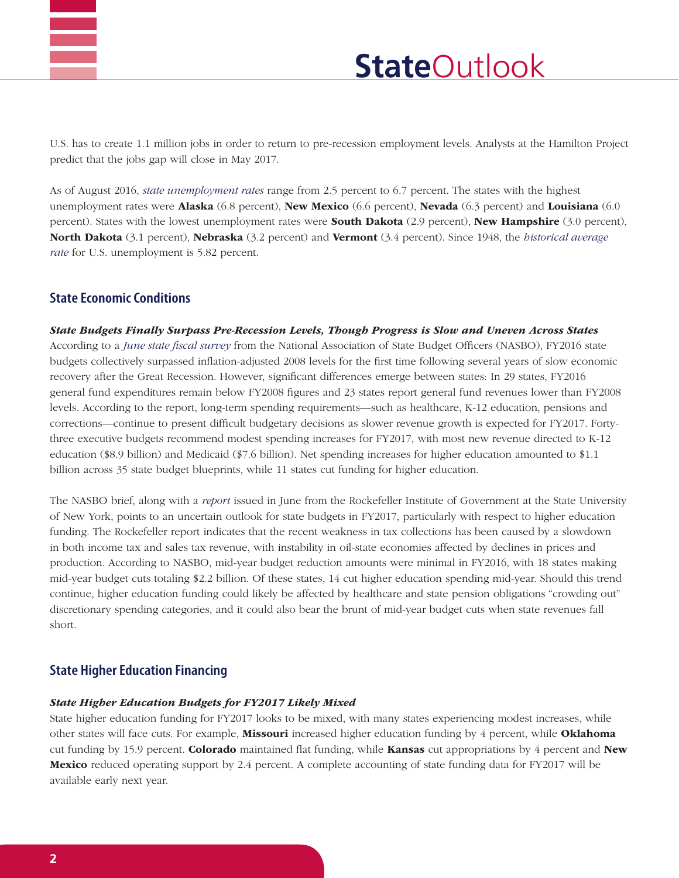

U.S. has to create 1.1 million jobs in order to return to pre-recession employment levels. Analysts at the Hamilton Project predict that the jobs gap will close in May 2017.

As of August 2016, *[state unemployment rates](http://www.bls.gov/web/laus/laumstrk.htm)* range from 2.5 percent to 6.7 percent. The states with the highest unemployment rates were **Alaska** (6.8 percent), **New Mexico** (6.6 percent), **Nevada** (6.3 percent) and **Louisiana** (6.0 percent). States with the lowest unemployment rates were **South Dakota** (2.9 percent), **New Hampshire** (3.0 percent), North Dakota (3.1 percent), Nebraska (3.2 percent) and Vermont (3.4 percent). Since 1948, the *[historical average](http://www.tradingeconomics.com/united-states/unemployment-rate)  [rate](http://www.tradingeconomics.com/united-states/unemployment-rate)* for U.S. unemployment is 5.82 percent.

## **State Economic Conditions**

*State Budgets Finally Surpass Pre-Recession Levels, Though Progress is Slow and Uneven Across States* According to a *[June state fiscal survey](https://www.nasbo.org/publications-data/fiscal-survey-of-the-states)* from the National Association of State Budget Officers (NASBO), FY2016 state budgets collectively surpassed inflation-adjusted 2008 levels for the first time following several years of slow economic recovery after the Great Recession. However, significant differences emerge between states: In 29 states, FY2016 general fund expenditures remain below FY2008 figures and 23 states report general fund revenues lower than FY2008 levels. According to the report, long-term spending requirements—such as healthcare, K-12 education, pensions and corrections—continue to present difficult budgetary decisions as slower revenue growth is expected for FY2017. Fortythree executive budgets recommend modest spending increases for FY2017, with most new revenue directed to K-12 education (\$8.9 billion) and Medicaid (\$7.6 billion). Net spending increases for higher education amounted to \$1.1 billion across 35 state budget blueprints, while 11 states cut funding for higher education.

The NASBO brief, along with a *[report](http://www.rockinst.org/pdf/government_finance/state_revenue_report/2016-06-30-SRR_103_final.pdf)* issued in June from the Rockefeller Institute of Government at the State University of New York, points to an uncertain outlook for state budgets in FY2017, particularly with respect to higher education funding. The Rockefeller report indicates that the recent weakness in tax collections has been caused by a slowdown in both income tax and sales tax revenue, with instability in oil-state economies affected by declines in prices and production. According to NASBO, mid-year budget reduction amounts were minimal in FY2016, with 18 states making mid-year budget cuts totaling \$2.2 billion. Of these states, 14 cut higher education spending mid-year. Should this trend continue, higher education funding could likely be affected by healthcare and state pension obligations "crowding out" discretionary spending categories, and it could also bear the brunt of mid-year budget cuts when state revenues fall short.

## **State Higher Education Financing**

## *State Higher Education Budgets for FY2017 Likely Mixed*

State higher education funding for FY2017 looks to be mixed, with many states experiencing modest increases, while other states will face cuts. For example, **Missouri** increased higher education funding by 4 percent, while **Oklahoma** cut funding by 15.9 percent. Colorado maintained flat funding, while Kansas cut appropriations by 4 percent and New **Mexico** reduced operating support by 2.4 percent. A complete accounting of state funding data for FY2017 will be available early next year.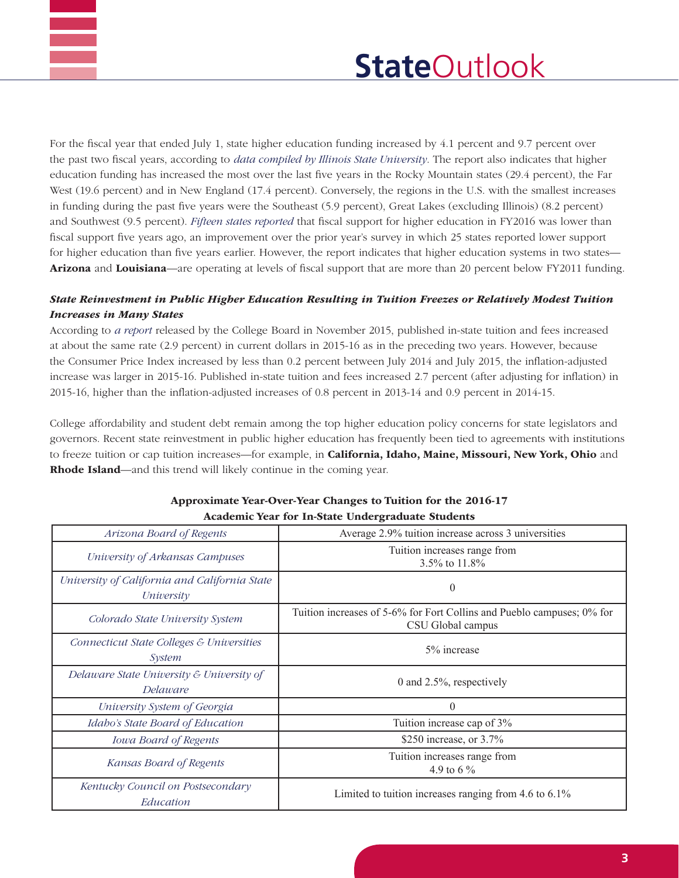



For the fiscal year that ended July 1, state higher education funding increased by 4.1 percent and 9.7 percent over the past two fiscal years, according to *[data compiled by Illinois State University](http://education.illinoisstate.edu/grapevine/tables/)*. The report also indicates that higher education funding has increased the most over the last five years in the Rocky Mountain states (29.4 percent), the Far West (19.6 percent) and in New England (17.4 percent). Conversely, the regions in the U.S. with the smallest increases in funding during the past five years were the Southeast (5.9 percent), Great Lakes (excluding Illinois) (8.2 percent) and Southwest (9.5 percent). *[Fifteen states reported](http://education.illinoisstate.edu/grapevine/Grapevine_FY16_Press_Release.pdf)* that fiscal support for higher education in FY2016 was lower than fiscal support five years ago, an improvement over the prior year's survey in which 25 states reported lower support for higher education than five years earlier. However, the report indicates that higher education systems in two states— Arizona and Louisiana—are operating at levels of fiscal support that are more than 20 percent below FY2011 funding.

## *State Reinvestment in Public Higher Education Resulting in Tuition Freezes or Relatively Modest Tuition Increases in Many States*

According to *[a report](http://trends.collegeboard.org/college-pricing)* released by the College Board in November 2015, published in-state tuition and fees increased at about the same rate (2.9 percent) in current dollars in 2015-16 as in the preceding two years. However, because the Consumer Price Index increased by less than 0.2 percent between July 2014 and July 2015, the inflation-adjusted increase was larger in 2015-16. Published in-state tuition and fees increased 2.7 percent (after adjusting for inflation) in 2015-16, higher than the inflation-adjusted increases of 0.8 percent in 2013-14 and 0.9 percent in 2014-15.

College affordability and student debt remain among the top higher education policy concerns for state legislators and governors. Recent state reinvestment in public higher education has frequently been tied to agreements with institutions to freeze tuition or cap tuition increases—for example, in **California, Idaho, Maine, Missouri, New York, Ohio** and Rhode Island—and this trend will likely continue in the coming year.

| Arizona Board of Regents                                    | Average 2.9% tuition increase across 3 universities                                         |  |
|-------------------------------------------------------------|---------------------------------------------------------------------------------------------|--|
| University of Arkansas Campuses                             | Tuition increases range from<br>3.5% to 11.8%                                               |  |
| University of California and California State<br>University | 0                                                                                           |  |
| Colorado State University System                            | Tuition increases of 5-6% for Fort Collins and Pueblo campuses; 0% for<br>CSU Global campus |  |
| Connecticut State Colleges & Universities<br><i>System</i>  | 5% increase                                                                                 |  |
| Delaware State University & University of<br>Delaware       | 0 and $2.5\%$ , respectively                                                                |  |
| University System of Georgia                                | 0                                                                                           |  |
| Idabo's State Board of Education                            | Tuition increase cap of 3%                                                                  |  |
| Iowa Board of Regents                                       | \$250 increase, or 3.7%                                                                     |  |
| Kansas Board of Regents                                     | Tuition increases range from<br>4.9 to 6 $\%$                                               |  |
| Kentucky Council on Postsecondary<br>Education              | Limited to tuition increases ranging from $4.6$ to $6.1\%$                                  |  |

## Approximate Year-Over-Year Changes to Tuition for the 2016-17 Academic Year for In-State Undergraduate Students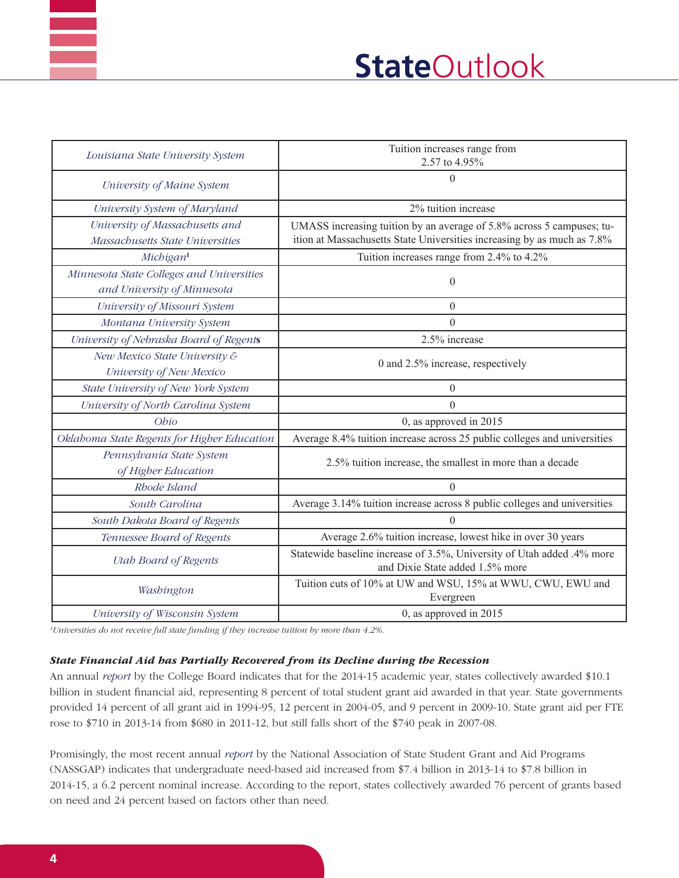| Louisiana State University System           | Tuition increases range from<br>2.57 to 4.95%                                                                                                    |  |
|---------------------------------------------|--------------------------------------------------------------------------------------------------------------------------------------------------|--|
| University of Maine System                  | $\theta$                                                                                                                                         |  |
| University System of Maryland               | 2% tuition increase                                                                                                                              |  |
| University of Massachusetts and             | UMASS increasing tuition by an average of 5.8% across 5 campuses; tu-<br>ition at Massachusetts State Universities increasing by as much as 7.8% |  |
| Massachusetts State Universities            |                                                                                                                                                  |  |
| Michigan <sup>1</sup>                       | Tuition increases range from 2.4% to 4.2%                                                                                                        |  |
| Minnesota State Colleges and Universities   | $\theta$                                                                                                                                         |  |
| and University of Minnesota                 |                                                                                                                                                  |  |
| University of Missouri System               | $\theta$                                                                                                                                         |  |
| Montana University System                   | $\theta$                                                                                                                                         |  |
| University of Nebraska Board of Regents     | 2.5% increase                                                                                                                                    |  |
| New Mexico State University &               | 0 and 2.5% increase, respectively                                                                                                                |  |
| University of New Mexico                    |                                                                                                                                                  |  |
| State University of New York System         | $\theta$                                                                                                                                         |  |
| University of North Carolina System         | $\Omega$                                                                                                                                         |  |
| Obio                                        | 0, as approved in $2015$                                                                                                                         |  |
| Oklahoma State Regents for Higher Education | Average 8.4% tuition increase across 25 public colleges and universities                                                                         |  |
| Pennsylvania State System                   | 2.5% tuition increase, the smallest in more than a decade                                                                                        |  |
| of Higher Education                         |                                                                                                                                                  |  |
| Rhode Island                                | $\mathbf{0}$                                                                                                                                     |  |
| South Carolina                              | Average 3.14% tuition increase across 8 public colleges and universities                                                                         |  |
| South Dakota Board of Regents               | 0                                                                                                                                                |  |
| Tennessee Board of Regents                  | Average 2.6% tuition increase, lowest hike in over 30 years                                                                                      |  |
| <b>Utah Board of Regents</b>                | Statewide baseline increase of 3.5%, University of Utah added .4% more<br>and Dixie State added 1.5% more                                        |  |
| Washington                                  | Tuition cuts of 10% at UW and WSU, 15% at WWU, CWU, EWU and<br>Evergreen                                                                         |  |
| University of Wisconsin System              | 0, as approved in $2015$                                                                                                                         |  |

*1 Universities do not receive full state funding if they increase tuition by more than 4.2%.*

## *State Financial Aid has Partially Recovered from its Decline during the Recession*

An annual *[report](https://trends.collegeboard.org/student-aid)* by the College Board indicates that for the 2014-15 academic year, states collectively awarded \$10.1 billion in student financial aid, representing 8 percent of total student grant aid awarded in that year. State governments provided 14 percent of all grant aid in 1994-95, 12 percent in 2004-05, and 9 percent in 2009-10. State grant aid per FTE rose to \$710 in 2013-14 from \$680 in 2011-12, but still falls short of the \$740 peak in 2007-08.

Promisingly, the most recent annual *[report](http://www.nassgap.org/viewrepository.aspx?categoryID=3)* by the National Association of State Student Grant and Aid Programs (NASSGAP) indicates that undergraduate need-based aid increased from \$7.4 billion in 2013-14 to \$7.8 billion in 2014-15, a 6.2 percent nominal increase. According to the report, states collectively awarded 76 percent of grants based on need and 24 percent based on factors other than need.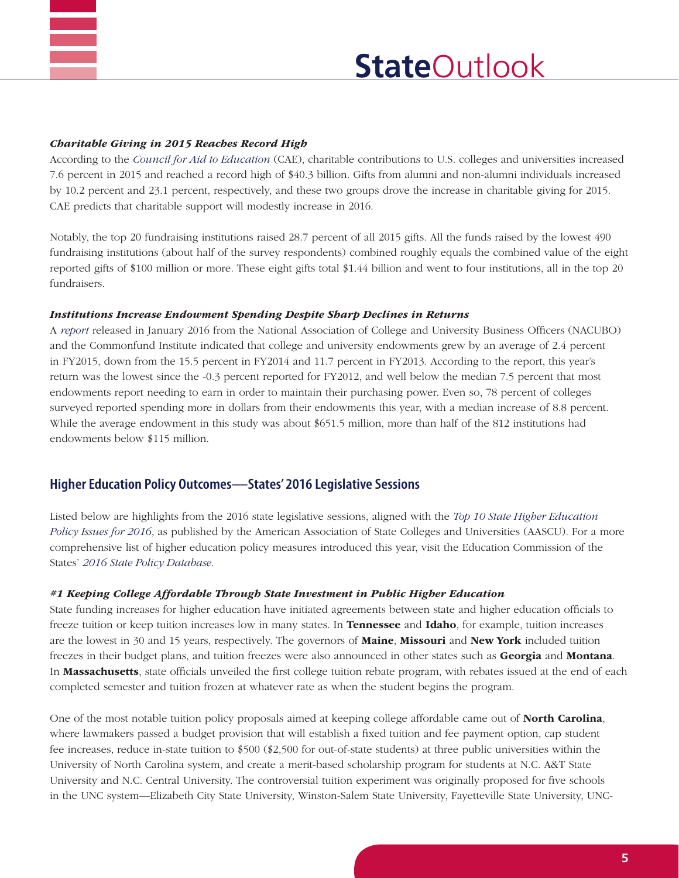



## *Charitable Giving in 2015 Reaches Record High*

According to the *[Council for Aid to Education](http://cae.org/images/uploads/pdf/VSE_2015_Press_Release.pdf)* (CAE), charitable contributions to U.S. colleges and universities increased 7.6 percent in 2015 and reached a record high of \$40.3 billion. Gifts from alumni and non-alumni individuals increased by 10.2 percent and 23.1 percent, respectively, and these two groups drove the increase in charitable giving for 2015. CAE predicts that charitable support will modestly increase in 2016.

Notably, the top 20 fundraising institutions raised 28.7 percent of all 2015 gifts. All the funds raised by the lowest 490 fundraising institutions (about half of the survey respondents) combined roughly equals the combined value of the eight reported gifts of \$100 million or more. These eight gifts total \$1.44 billion and went to four institutions, all in the top 20 fundraisers.

## *Institutions Increase Endowment Spending Despite Sharp Declines in Returns*

A *[report](http://www.nacubo.org/Documents/2015%20NCSE%20Press%20Release%20%20FINAL.pdf)* released in January 2016 from the National Association of College and University Business Officers (NACUBO) and the Commonfund Institute indicated that college and university endowments grew by an average of 2.4 percent in FY2015, down from the 15.5 percent in FY2014 and 11.7 percent in FY2013. According to the report, this year's return was the lowest since the -0.3 percent reported for FY2012, and well below the median 7.5 percent that most endowments report needing to earn in order to maintain their purchasing power. Even so, 78 percent of colleges surveyed reported spending more in dollars from their endowments this year, with a median increase of 8.8 percent. While the average endowment in this study was about \$651.5 million, more than half of the 812 institutions had endowments below \$115 million.

## **Higher Education Policy Outcomes—States' 2016 Legislative Sessions**

Listed below are highlights from the 2016 state legislative sessions, aligned with the *[Top 10 State Higher Education](http://www.aascu.org/policy/publications/policy-matters/TopTen2016.pdf)  [Policy Issues for 2016](http://www.aascu.org/policy/publications/policy-matters/TopTen2016.pdf)*, as published by the American Association of State Colleges and Universities (AASCU). For a more comprehensive list of higher education policy measures introduced this year, visit the Education Commission of the States' *[2016 State Policy Database](http://b5.caspio.com/dp.asp?AppKey=b7f930003204329dff2e4cf1af9e&yr=2016)*.

## *#1 Keeping College Affordable Through State Investment in Public Higher Education*

State funding increases for higher education have initiated agreements between state and higher education officials to freeze tuition or keep tuition increases low in many states. In **Tennessee** and **Idaho**, for example, tuition increases are the lowest in 30 and 15 years, respectively. The governors of Maine, Missouri and New York included tuition freezes in their budget plans, and tuition freezes were also announced in other states such as **Georgia** and **Montana**. In Massachusetts, state officials unveiled the first college tuition rebate program, with rebates issued at the end of each completed semester and tuition frozen at whatever rate as when the student begins the program.

One of the most notable tuition policy proposals aimed at keeping college affordable came out of **North Carolina**, where lawmakers passed a budget provision that will establish a fixed tuition and fee payment option, cap student fee increases, reduce in-state tuition to \$500 (\$2,500 for out-of-state students) at three public universities within the University of North Carolina system, and create a merit-based scholarship program for students at N.C. A&T State University and N.C. Central University. The controversial tuition experiment was originally proposed for five schools in the UNC system—Elizabeth City State University, Winston-Salem State University, Fayetteville State University, UNC-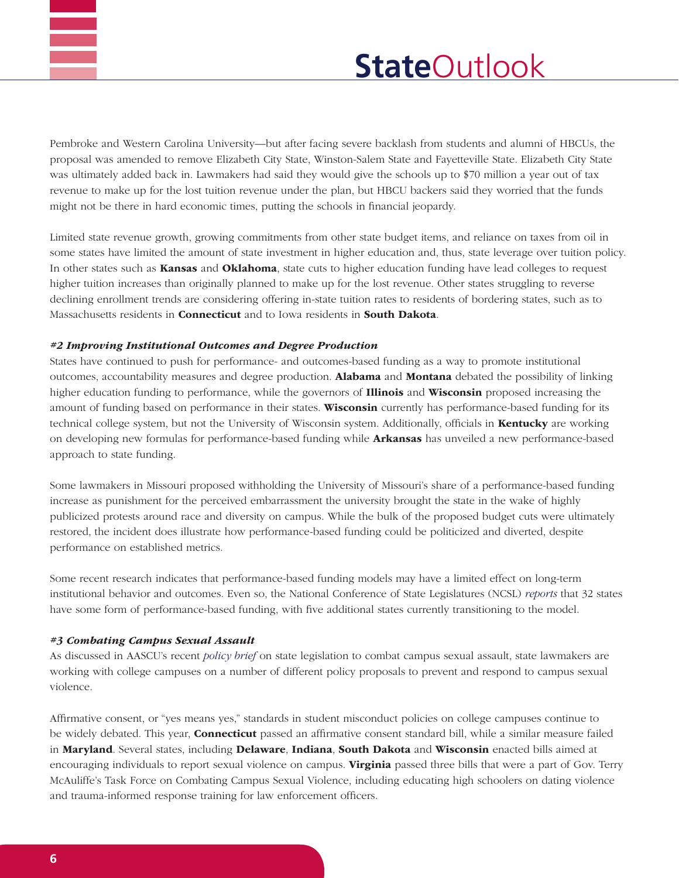



Pembroke and Western Carolina University—but after facing severe backlash from students and alumni of HBCUs, the proposal was amended to remove Elizabeth City State, Winston-Salem State and Fayetteville State. Elizabeth City State was ultimately added back in. Lawmakers had said they would give the schools up to \$70 million a year out of tax revenue to make up for the lost tuition revenue under the plan, but HBCU backers said they worried that the funds might not be there in hard economic times, putting the schools in financial jeopardy.

Limited state revenue growth, growing commitments from other state budget items, and reliance on taxes from oil in some states have limited the amount of state investment in higher education and, thus, state leverage over tuition policy. In other states such as Kansas and Oklahoma, state cuts to higher education funding have lead colleges to request higher tuition increases than originally planned to make up for the lost revenue. Other states struggling to reverse declining enrollment trends are considering offering in-state tuition rates to residents of bordering states, such as to Massachusetts residents in **Connecticut** and to Iowa residents in **South Dakota**.

#### *#2 Improving Institutional Outcomes and Degree Production*

States have continued to push for performance- and outcomes-based funding as a way to promote institutional outcomes, accountability measures and degree production. **Alabama** and **Montana** debated the possibility of linking higher education funding to performance, while the governors of **Illinois** and **Wisconsin** proposed increasing the amount of funding based on performance in their states. Wisconsin currently has performance-based funding for its technical college system, but not the University of Wisconsin system. Additionally, officials in **Kentucky** are working on developing new formulas for performance-based funding while **Arkansas** has unveiled a new performance-based approach to state funding.

Some lawmakers in Missouri proposed withholding the University of Missouri's share of a performance-based funding increase as punishment for the perceived embarrassment the university brought the state in the wake of highly publicized protests around race and diversity on campus. While the bulk of the proposed budget cuts were ultimately restored, the incident does illustrate how performance-based funding could be politicized and diverted, despite performance on established metrics.

Some recent research indicates that performance-based funding models may have a limited effect on long-term institutional behavior and outcomes. Even so, the National Conference of State Legislatures (NCSL) *[reports](http://www.ncsl.org/research/education/performance-funding.aspx)* that 32 states have some form of performance-based funding, with five additional states currently transitioning to the model.

## *#3 Combating Campus Sexual Assault*

As discussed in AASCU's recent *[policy brief](http://www.aascu.org/policy/publications/policy-matters/campussexualassault.pdf)* on state legislation to combat campus sexual assault, state lawmakers are working with college campuses on a number of different policy proposals to prevent and respond to campus sexual violence.

Affirmative consent, or "yes means yes," standards in student misconduct policies on college campuses continue to be widely debated. This year, **Connecticut** passed an affirmative consent standard bill, while a similar measure failed in Maryland. Several states, including Delaware, Indiana, South Dakota and Wisconsin enacted bills aimed at encouraging individuals to report sexual violence on campus. **Virginia** passed three bills that were a part of Gov. Terry McAuliffe's Task Force on Combating Campus Sexual Violence, including educating high schoolers on dating violence and trauma-informed response training for law enforcement officers.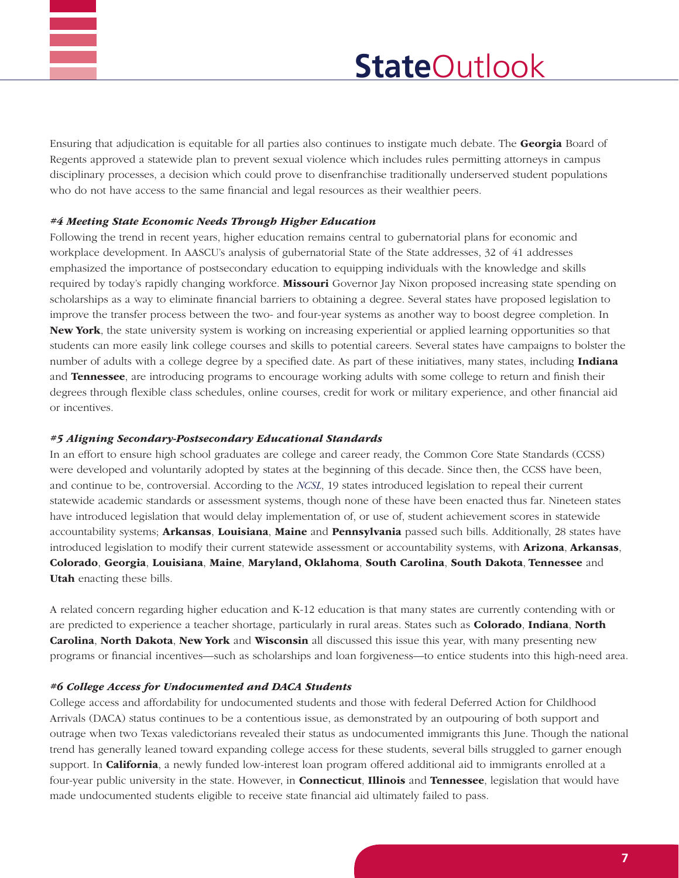

Ensuring that adjudication is equitable for all parties also continues to instigate much debate. The **Georgia** Board of Regents approved a statewide plan to prevent sexual violence which includes rules permitting attorneys in campus disciplinary processes, a decision which could prove to disenfranchise traditionally underserved student populations who do not have access to the same financial and legal resources as their wealthier peers.

#### *#4 Meeting State Economic Needs Through Higher Education*

Following the trend in recent years, higher education remains central to gubernatorial plans for economic and workplace development. In [AASCU's analysis](https://www.magnetmail.net/actions/email_web_version.cfm?message_id=12332292&user_id=AASCU) of gubernatorial State of the State addresses, 32 of 41 addresses emphasized the importance of postsecondary education to equipping individuals with the knowledge and skills required by today's rapidly changing workforce. Missouri Governor Jay Nixon proposed increasing state spending on scholarships as a way to eliminate financial barriers to obtaining a degree. Several states have proposed legislation to improve the transfer process between the two- and four-year systems as another way to boost degree completion. In New York, the state university system is working on increasing experiential or applied learning opportunities so that students can more easily link college courses and skills to potential careers. Several states have campaigns to bolster the number of adults with a college degree by a specified date. As part of these initiatives, many states, including Indiana and Tennessee, are introducing programs to encourage working adults with some college to return and finish their degrees through flexible class schedules, online courses, credit for work or military experience, and other financial aid or incentives.

#### *#5 Aligning Secondary-Postsecondary Educational Standards*

In an effort to ensure high school graduates are college and career ready, the Common Core State Standards (CCSS) were developed and voluntarily adopted by states at the beginning of this decade. Since then, the CCSS have been, and continue to be, controversial. According to the *[NCSL](http://www.ccrslegislation.info/)*, 19 states introduced legislation to repeal their current statewide academic standards or assessment systems, though none of these have been enacted thus far. Nineteen states have introduced legislation that would delay implementation of, or use of, student achievement scores in statewide accountability systems; **Arkansas, Louisiana, Maine** and **Pennsylvania** passed such bills. Additionally, 28 states have introduced legislation to modify their current statewide assessment or accountability systems, with **Arizona, Arkansas**, Colorado, Georgia, Louisiana, Maine, Maryland, Oklahoma, South Carolina, South Dakota, Tennessee and Utah enacting these bills.

A related concern regarding higher education and K-12 education is that many states are currently contending with or are predicted to experience a teacher shortage, particularly in rural areas. States such as **Colorado**, **Indiana**, North Carolina, North Dakota, New York and Wisconsin all discussed this issue this year, with many presenting new programs or financial incentives—such as scholarships and loan forgiveness—to entice students into this high-need area.

#### *#6 College Access for Undocumented and DACA Students*

College access and affordability for undocumented students and those with federal Deferred Action for Childhood Arrivals (DACA) status continues to be a contentious issue, as demonstrated by an outpouring of both support and outrage when two Texas valedictorians revealed their status as undocumented immigrants this June. Though the national trend has generally leaned toward expanding college access for these students, several bills struggled to garner enough support. In **California**, a newly funded low-interest loan program offered additional aid to immigrants enrolled at a four-year public university in the state. However, in **Connecticut, Illinois** and **Tennessee**, legislation that would have made undocumented students eligible to receive state financial aid ultimately failed to pass.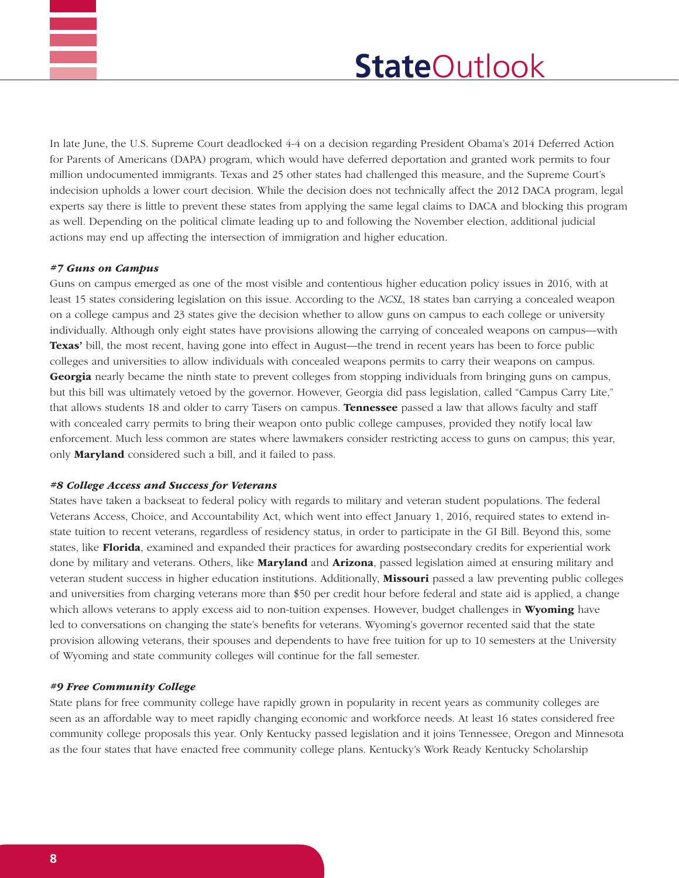

In late June, the U.S. Supreme Court deadlocked 4-4 on a decision regarding President Obama's 2014 Deferred Action for Parents of Americans (DAPA) program, which would have deferred deportation and granted work permits to four million undocumented immigrants. Texas and 25 other states had challenged this measure, and the Supreme Court's indecision upholds a lower court decision. While the decision does not technically affect the 2012 DACA program, legal experts say there is little to prevent these states from applying the same legal claims to DACA and blocking this program as well. Depending on the political climate leading up to and following the November election, additional judicial actions may end up affecting the intersection of immigration and higher education.

#### *#7 Guns on Campus*

Guns on campus emerged as one of the most visible and contentious higher education policy issues in 2016, with at least 15 states considering legislation on this issue. According to the *[NCSL](http://www.ncsl.org/research/education/guns-on-campus-overview.aspx)*, 18 states ban carrying a concealed weapon on a college campus and 23 states give the decision whether to allow guns on campus to each college or university individually. Although only eight states have provisions allowing the carrying of concealed weapons on campus—with Texas' bill, the most recent, having gone into effect in August—the trend in recent years has been to force public colleges and universities to allow individuals with concealed weapons permits to carry their weapons on campus. Georgia nearly became the ninth state to prevent colleges from stopping individuals from bringing guns on campus, but this bill was ultimately vetoed by the governor. However, Georgia did pass legislation, called "Campus Carry Lite," that allows students 18 and older to carry Tasers on campus. Tennessee passed a law that allows faculty and staff with concealed carry permits to bring their weapon onto public college campuses, provided they notify local law enforcement. Much less common are states where lawmakers consider restricting access to guns on campus; this year, only **Maryland** considered such a bill, and it failed to pass.

#### *#8 College Access and Success for Veterans*

States have taken a backseat to federal policy with regards to military and veteran student populations. The federal Veterans Access, Choice, and Accountability Act, which went into effect January 1, 2016, required states to extend instate tuition to recent veterans, regardless of residency status, in order to participate in the GI Bill. Beyond this, some states, like Florida, examined and expanded their practices for awarding postsecondary credits for experiential work done by military and veterans. Others, like **Maryland** and **Arizona**, passed legislation aimed at ensuring military and veteran student success in higher education institutions. Additionally, **Missouri** passed a law preventing public colleges and universities from charging veterans more than \$50 per credit hour before federal and state aid is applied, a change which allows veterans to apply excess aid to non-tuition expenses. However, budget challenges in **Wyoming** have led to conversations on changing the state's benefits for veterans. Wyoming's governor recented said that the state provision allowing veterans, their spouses and dependents to have free tuition for up to 10 semesters at the University of Wyoming and state community colleges will continue for the fall semester.

#### *#9 Free Community College*

State plans for free community college have rapidly grown in popularity in recent years as community colleges are seen as an affordable way to meet rapidly changing economic and workforce needs. At least 16 states considered free community college proposals this year. Only Kentucky passed legislation and it joins Tennessee, Oregon and Minnesota as the four states that have enacted free community college plans. Kentucky's Work Ready Kentucky Scholarship